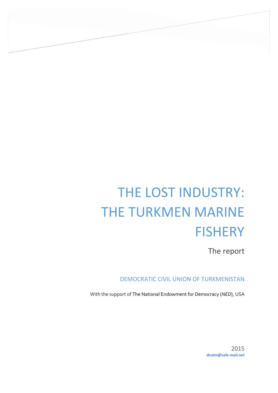# THE LOST INDUSTRY: THE TURKMEN MARINE **FISHERY**

The report

DEMOCRATIC CIVIL UNION OF TURKMENISTAN

With the support of The National Endowment for Democracy (*NED*), USA

2015 **dcutm@safe-mail.net**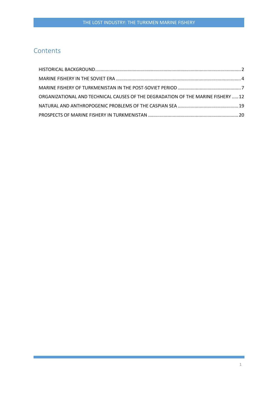## **Contents**

| ORGANIZATIONAL AND TECHNICAL CAUSES OF THE DEGRADATION OF THE MARINE FISHERY  12 |  |
|----------------------------------------------------------------------------------|--|
|                                                                                  |  |
|                                                                                  |  |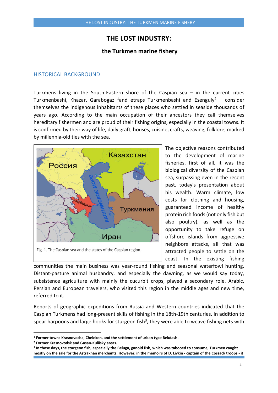## **THE LOST INDUSTRY:**

#### **the Turkmen marine fishery**

#### <span id="page-2-0"></span>HISTORICAL BACKGROUND

Turkmens living in the South-Eastern shore of the Caspian sea  $-$  in the current cities Turkmenbashi, Khazar, Garabogaz <sup>1</sup>and etraps Turkmenbashi and Esenguly<sup>2</sup> – consider themselves the indigenous inhabitants of these places who settled in seaside thousands of years ago. According to the main occupation of their ancestors they call themselves hereditary fishermen and are proud of their fishing origins, especially in the coastal towns. It is confirmed by their way of life, daily graft, houses, cuisine, crafts, weaving, folklore, marked by millennia-old ties with the sea.



The objective reasons contributed to the development of marine fisheries, first of all, it was the biological diversity of the Caspian sea, surpassing even in the recent past, today's presentation about his wealth. Warm climate, low costs for clothing and housing, guaranteed income of healthy protein rich foods (not only fish but also poultry), as well as the opportunity to take refuge on offshore islands from aggressive neighbors attacks, all that was attracted people to settle on the coast. In the existing fishing

communities the main business was year-round fishing and seasonal waterfowl hunting. Distant-pasture animal husbandry, and especially the dawning, as we would say today, subsistence agriculture with mainly the cucurbit crops, played a secondary role. Arabic, Persian and European travelers, who visited this region in the middle ages and new time, referred to it.

Reports of geographic expeditions from Russia and Western countries indicated that the Caspian Turkmens had long-present skills of fishing in the 18th-19th centuries. In addition to spear harpoons and large hooks for sturgeon fish<sup>3</sup>, they were able to weave fishing nets with

**<sup>1</sup> Former towns Krasnovodsk, Cheleken, and the settlement of urban type Bekdash.**

**<sup>2</sup> Former Krasnovodsk and Gasan-Kuliisky areas.** 

**<sup>3</sup> In those days, the sturgeon fish, especially the Beluga, ganoid fish, which was tabooed to consume, Turkmen caught mostly on the sale for the Astrakhan merchants. However, in the memoirs of D. Livkin - captain of the Cossack troops - it**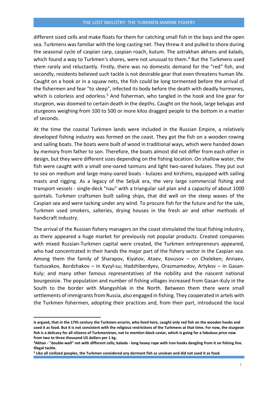different sized cells and make floats for them for catching small fish in the bays and the open sea. Turkmens was familiar with the long casting net. They threw it and pulled to shore during the seasonal cycle of caspian carp, caspian roach, kutum. The astrakhan akhans and kalads, which found a way to Turkmen's shores, were not unusual to them.<sup>4</sup> But the Turkmens used them rarely and reluctantly. Firstly, there was no domestic demand for the "red" fish, and secondly, residents believed such tackle is not desirable gear that even threatens human life. Caught on a hook or in a squaw nets, the fish could be long tormented before the arrival of the fishermen and fear "to sleep", infected its body before the death with deadly hormones, which is colorless and odorless.<sup>5</sup> And fisherman, who tangled in the hook and line gear for sturgeon, was doomed to certain death in the depths. Caught on the hook, large belugas and sturgeons weighing from 100 to 500 or more kilos dragged people to the bottom in a matter of seconds.

At the time the coastal Turkmen lands were included in the Russian Empire, a relatively developed fishing industry was formed on the coast. They got the fish on a wooden rowing and sailing boats. The boats were built of wood in traditional ways, which were handed down by memory from father to son. Therefore, the boats almost did not differ from each other in design, but they were different sizes depending on the fishing location. On shallow water, the fish were caught with a small one-oared taimuns and light two-oared kulazes. They put out to sea on medium and large many-oared boats - kulazes and kirzhims, equipped with sailing masts and rigging. As a legacy of the Seljuk era, the very large commercial fishing and transport vessels - single-deck "nau" with a triangular sail plan and a capacity of about 1000 quintals. Turkmen craftsmen built sailing ships, that did well on the steep waves of the Caspian sea and were tacking under any wind. To procure fish for the future and for the sale, Turkmen used smokers, salteries, drying houses in the fresh air and other methods of handicraft industry.

The arrival of the Russian fishery managers on the coast stimulated the local fishing industry, as there appeared a huge market for previously not popular products. Created companies with mixed Russian-Turkmen capital were created, the Turkmen entrepreneurs appeared, who had concentrated in their hands the major part of the fishery sector in the Caspian sea. Among them the family of Sharapov, Kiyatov, Ataev, Kovusov – on Cheleken; Annaev, Yaztuvakov, Bordzhakov – in Kyzyl-su; Hadzhiberdyev, Orazmamedov, Artykov – in Gasan-Kuly; and many other famous representatives of the nobility and the nascent national bourgeoisie. The population and number of fishing villages increased from Gasan-Kuly in the South to the border with Mangyshlak in the North. Between them there were small settlements of immigrants from Russia, also engaged in fishing. They cooperated in artels with the Turkmen fishermen, adopting their practices and, from their part, introduced the local

**is argued, that in the 17th century the Turkmen-ersarin, who lived here, caught only red fish on the wooden hooks and used it as food. But it is not consistent with the religious restrictions of the Turkmens at that time. For now, the sturgeon fish is a delicacy for all citizens of Turkmenistan, not to mention black caviar, which is going for a fabulous price now from two to three thousand US dollars per 1 kg.**

**<sup>4</sup>Akhan - "double-wall" net with different cells; kalada - long heavy rope with iron hooks dangling from it on fishing line. Illegal tackle.**

**<sup>5</sup> Like all civilized peoples, the Turkmen considered any dormant fish as unclean and did not used it as food.**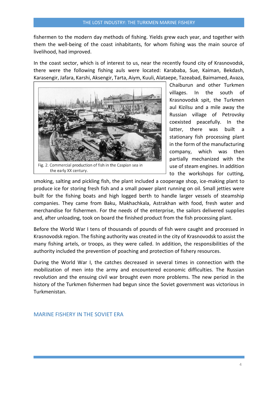fishermen to the modern day methods of fishing. Yields grew each year, and together with them the well-being of the coast inhabitants, for whom fishing was the main source of livelihood, had improved.

In the coast sector, which is of interest to us, near the recently found city of Krasnovodsk, there were the following fishing auls were located: Karababa, Sue, Kaiman, Bekdash, Karasengir, Jafara, Karshi, Aksengir, Tarta, Aiym, Kuuli, Alataepe, Tazeabad, Baimamed, Avaza,



the early XX century.

Chaiburun and other Turkmen villages. In the south of Krasnovodsk spit, the Turkmen aul Kizilsu and a mile away the Russian village of Petrovsky coexisted peacefully. In the latter, there was built a stationary fish processing plant in the form of the manufacturing company, which was then partially mechanized with the use of steam engines. In addition to the workshops for cutting,

smoking, salting and pickling fish, the plant included a cooperage shop, ice-making plant to produce ice for storing fresh fish and a small power plant running on oil. Small jetties were built for the fishing boats and high logged berth to handle larger vessels of steamship companies. They came from Baku, Makhachkala, Astrakhan with food, fresh water and merchandise for fishermen. For the needs of the enterprise, the sailors delivered supplies and, after unloading, took on board the finished product from the fish processing plant.

Before the World War I tens of thousands of pounds of fish were caught and processed in Krasnovodsk region. The fishing authority was created in the city of Krasnovodsk to assist the many fishing artels, or troops, as they were called. In addition, the responsibilities of the authority included the prevention of poaching and protection of fishery resources.

During the World War I, the catches decreased in several times in connection with the mobilization of men into the army and encountered economic difficulties. The Russian revolution and the ensuing civil war brought even more problems. The new period in the history of the Turkmen fishermen had begun since the Soviet government was victorious in Turkmenistan.

<span id="page-4-0"></span>MARINE FISHERY IN THE SOVIET ERA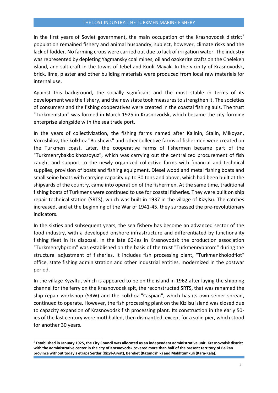In the first years of Soviet government, the main occupation of the Krasnovodsk district<sup>6</sup> population remained fishery and animal husbandry, subject, however, climate risks and the lack of fodder. No farming crops were carried out due to lack of irrigation water. The industry was represented by depleting Yagmansky coal mines, oil and ozokerite crafts on the Cheleken island, and salt craft in the towns of Jebel and Kuuli-Mayak. In the vicinity of Krasnovodsk, brick, lime, plaster and other building materials were produced from local raw materials for internal use.

Against this background, the socially significant and the most stable in terms of its development was the fishery, and the new state took measures to strengthen it. The societies of consumers and the fishing cooperatives were created in the coastal fishing auls. The trust "Turkmenistan" was formed in March 1925 in Krasnovodsk, which became the city-forming enterprise alongside with the sea trade port.

In the years of collectivization, the fishing farms named after Kalinin, Stalin, Mikoyan, Voroshilov, the kolkhoz "Bolshevik" and other collective farms of fishermen were created on the Turkmen coast. Later, the cooperative farms of fishermen became part of the "Turkmenrybakkolkhozsoyuz", which was carrying out the centralized procurement of fish caught and support to the newly organized collective farms with financial and technical supplies, provision of boats and fishing equipment. Diesel wood and metal fishing boats and small seine boats with carrying capacity up to 30 tons and above, which had been built at the shipyards of the country, came into operation of the fishermen. At the same time, traditional fishing boats of Turkmens were continued to use for coastal fisheries. They were built on ship repair technical station (SRTS), which was built in 1937 in the village of Kizylsu. The catches increased, and at the beginning of the War of 1941-45, they surpassed the pre-revolutionary indicators.

In the sixties and subsequent years, the sea fishery has become an advanced sector of the food industry, with a developed onshore infrastructure and differentiated by functionality fishing fleet in its disposal. In the late 60-ies in Krasnovodsk the production association "Turkmenrybprom" was established on the basis of the trust "Turkmenrybprom" during the structural adjustment of fisheries. It includes fish processing plant, "Turkmenkholodflot" office, state fishing administration and other industrial entities, modernized in the postwar period.

In the village Kyzyltu, which is appeared to be on the island in 1962 after laying the shipping channel for the ferry on the Krasnovodsk spit, the reconstructed SRTS, that was renamed the ship repair workshop (SRW) and the kolkhoz "Caspian", which has its own seiner spread, continued to operate. However, the fish processing plant on the Kizilsu island was closed due to capacity expansion of Krasnovodsk fish processing plant. Its construction in the early 50 ies of the last century were mothballed, then dismantled, except for a solid pier, which stood for another 30 years.

 $\overline{a}$ 

**<sup>6</sup> Established in January 1925, the City Council was allocated as an independent administrative unit. Krasnovodsk district with the administrative center in the city of Krasnovodsk covered more than half of the present territory of Balkan province without today's etraps Serdar (Kizyl-Arvat), Bereket (Kazandzhik) and Makhtumkuli (Kara-Kala).**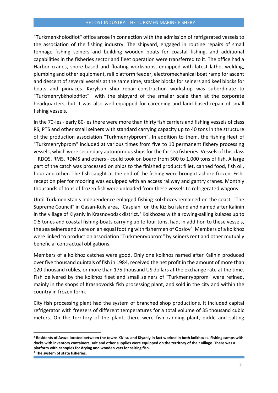"Turkmenkholodflot" office arose in connection with the admission of refrigerated vessels to the association of the fishing industry. The shipyard, engaged in routine repairs of small tonnage fishing seiners and building wooden boats for coastal fishing, and additional capabilities in the fisheries sector and fleet operation were transferred to it. The office had a Harbor cranes, shore-based and floating workshops, equipped with latest lathe, welding, plumbing and other equipment, rail platform feeder, electromechanical boat ramp for ascent and descent of several vessels at the same time, stacker blocks for seiners and keel blocks for boats and pinnaces. Kyzylsun ship repair-construction workshop was subordinate to "Turkmenrybkholodflot" with the shipyard of the smaller scale than at the corporate headquarters, but it was also well equipped for careening and land-based repair of small fishing vessels.

In the 70-ies - early 80-ies there were more than thirty fish carriers and fishing vessels of class RS, PTS and other small seiners with standard carrying capacity up to 40 tons in the structure of the production association "Turkmenrybprom". In addition to them, the fishing fleet of "Turkmenrybprom" included at various times from five to 10 permanent fishery processing vessels, which were secondary autonomous ships for the far sea fisheries. Vessels of this class – RDOS, RMS, RDMS and others - could took on board from 500 to 1,000 tons of fish. A large part of the catch was processed on ships to the finished product: fillet, canned food, fish oil, flour and other. The fish caught at the end of the fishing were brought ashore frozen. Fishreception pier for mooring was equipped with an access railway and gantry cranes. Monthly thousands of tons of frozen fish were unloaded from these vessels to refrigerated wagons.

Until Turkmenistan's independence enlarged fishing kolkhozes remained on the coast: "The Supreme Council" in Gasan-Kuly area, "Caspian" on the Kizilsu island and named after Kalinin in the village of Kiyanly in Krasnovodsk district.<sup>7</sup> Kolkhozes with a rowing-sailing kulazes up to 0.5 tones and coastal fishing-boats carrying up to four tons, had, in addition to these vessels, the sea seiners and were on an equal footing with fishermen of Goslov<sup>8</sup>. Members of a kolkhoz were linked to production association "Turkmenrybprom" by seiners rent and other mutually beneficial contractual obligations.

Members of a kolkhoz catches were good. Only one kolkhoz named after Kalinin produced over five thousand quintals of fish in 1984, received the net profit in the amount of more than 120 thousand rubles, or more than 175 thousand US dollars at the exchange rate at the time. Fish delivered by the kolkhoz fleet and small seiners of "Turkmenrybprom" were refined, mainly in the shops of Krasnovodsk fish processing plant, and sold in the city and within the country in frozen form.

City fish processing plant had the system of branched shop productions. It included capital refrigerator with freezers of different temperatures for a total volume of 35 thousand cubic meters. On the territory of the plant, there were fish canning plant, pickle and salting

**<sup>7</sup> Residents of Avaza located between the towns Kizilsu and Kiyanly in fact worked in both kolkhozes. Fishing camps with docks with inventory containers, salt and other supplies were equipped on the territory of their village. There was a platform with canopies for drying and wooden vats for salting fish. <sup>8</sup> The system of state fisheries.**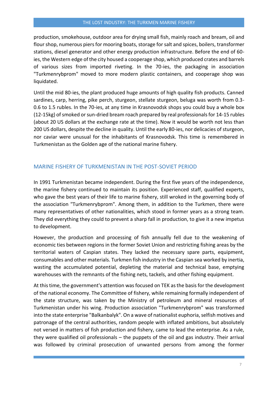production, smokehouse, outdoor area for drying small fish, mainly roach and bream, oil and flour shop, numerous piers for mooring boats, storage for salt and spices, boilers, transformer stations, diesel generator and other energy production infrastructure. Before the end of 60 ies, the Western edge of the city housed a cooperage shop, which produced crates and barrels of various sizes from imported riveting. In the 70-ies, the packaging in association "Turkmenrybprom" moved to more modern plastic containers, and cooperage shop was liquidated.

Until the mid 80-ies, the plant produced huge amounts of high quality fish products. Canned sardines, carp, herring, pike perch, sturgeon, stellate sturgeon, beluga was worth from 0.3- 0.6 to 1.5 rubles. In the 70-ies, at any time in Krasnovodsk shops you could buy a whole box (12-15kg) of smoked or sun-dried bream roach prepared by real professionals for 14-15 rubles (about 20 US dollars at the exchange rate at the time). Now it would be worth not less than 200 US dollars, despite the decline in quality. Until the early 80-ies, nor delicacies of sturgeon, nor caviar were unusual for the inhabitants of Krasnovodsk. This time is remembered in Turkmenistan as the Golden age of the national marine fishery.

### <span id="page-7-0"></span>MARINE FISHERY OF TURKMENISTAN IN THE POST-SOVIET PERIOD

In 1991 Turkmenistan became independent. During the first five years of the independence, the marine fishery continued to maintain its position. Experienced staff, qualified experts, who gave the best years of their life to marine fishery, still wroked in the governing body of the association "Turkmenrybprom". Among them, in addition to the Turkmen, there were many representatives of other nationalities, which stood in former years as a strong team. They did everything they could to prevent a sharp fall in production, to give it a new impetus to development.

However, the production and processing of fish annually fell due to the weakening of economic ties between regions in the former Soviet Union and restricting fishing areas by the territorial waters of Caspian states. They lacked the necessary spare parts, equipment, consumables and other materials. Turkmen fish industry in the Caspian sea worked by inertia, wasting the accumulated potential, depleting the material and technical base, emptying warehouses with the remnants of the fishing nets, tackels, and other fishing equipment.

At this time, the government's attention was focused on TEK as the basis for the development of the national economy. The Committee of fishery, while remaining formally independent of the state structure, was taken by the Ministry of petroleum and mineral resources of Turkmenistan under his wing. Production association "Turkmenrybprom" was transformed into the state enterprise "Balkanbalyk". On a wave of nationalist euphoria, selfish motives and patronage of the central authorities, random people with inflated ambitions, but absolutely not versed in matters of fish production and fishery, came to lead the enterprise. As a rule, they were qualified oil professionals – the puppets of the oil and gas industry. Their arrival was followed by criminal prosecution of unwanted persons from among the former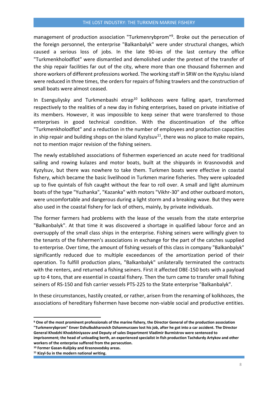management of production association "Turkmenrybprom"<sup>9</sup> . Broke out the persecution of the foreign personnel, the enterprise "Balkanbalyk" were under structural changes, which caused a serious loss of jobs. In the late 90-ies of the last century the office "Turkmenkholodflot" were dismantled and demolished under the pretext of the transfer of the ship repair facilities far out of the city, where more than one thousand fishermen and shore workers of different professions worked. The working staff in SRW on the Kyzylsu island were reduced in three times, the orders for repairs of fishing trawlers and the construction of small boats were almost ceased.

In Esenguliysky and Turkmenbashi etrap<sup>10</sup> kolkhozes were falling apart, transformed respectively to the realities of a new day in fishing enterprises, based on private initiative of its members. However, it was impossible to keep seiner that were transferred to those enterprises in good technical condition. With the discontinuation of the office "Turkmenkholodflot" and a reduction in the number of employees and production capacities in ship repair and building shops on the island Kyzylsuv<sup>11</sup>, there was no place to make repairs, not to mention major revision of the fishing seiners.

The newly established associations of fishermen experienced an acute need for traditional sailing and rowing kulazes and motor boats, built at the shipyards in Krasnovodsk and Kyzylsuv, but there was nowhere to take them. Turkmen boats were effective in coastal fishery, which became the basic livelihood in Turkmen marine fisheries. They were uploaded up to five quintals of fish caught without the fear to roll over. A small and light aluminum boats of the type "Yuzhanka", "Kazanka" with motors "Vikhr-30" and other outboard motors, were uncomfortable and dangerous during a light storm and a breaking wave. But they were also used in the coastal fishery for lack of others, mainly, by private individuals.

The former farmers had problems with the lease of the vessels from the state enterprise "Balkanbalyk". At that time it was discovered a shortage in qualified labour force and an oversupply of the small class ships in the enterprise. Fishing seiners were willingly given to the tenants of the fishermen's associations in exchange for the part of the catches supplied to enterprise. Over time, the amount of fishing vessels of this class in company "Balkanbalyk" significantly reduced due to multiple exceedances of the amortization period of their operation. To fulfill production plans, "Balkanbalyk" unilaterally terminated the contracts with the renters, and returned a fishing seiners. First it affected DBE-150 bots with a payload up to 4 tons, that are essential in coastal fishery. Then the turn came to transfer small fishing seiners of RS-150 and fish carrier vessels PTS-225 to the State enterprise "Balkanbalyk".

In these circumstances, hastily created, or rather, arisen from the renaming of kolkhozes, the associations of hereditary fishermen have become non-viable social and productive entities.

**<sup>9</sup> One of the most prominent professionals of the marine fishery, the Director General of the production association "Turkmenrybprom" Enver Dzhulbukharovich Dzhanmurzaev lost his job, after he got into a car accident. The Director General Khodzhi Khodzhiniyazov and Deputy of sales Department Vladimir Burmistrov were sentenced to imprisonment; the head of unloading berth, an experienced specialist in fish production Tachdurdy Artykov and other workers of the enterprise suffered from the persecution.** 

**<sup>10</sup> Former Gasan-Kulijsky and Krasnovodsky areas.**

**<sup>11</sup> Kizyl-Su in the modern national writing.**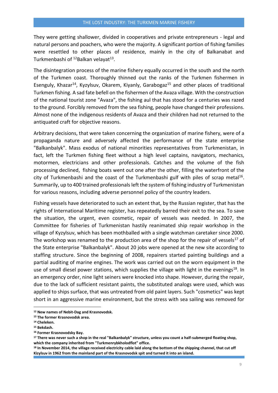They were getting shallower, divided in cooperatives and private entrepreneurs - legal and natural persons and poachers, who were the majority. A significant portion of fishing families were resettled to other places of residence, mainly in the city of Balkanabat and Turkmenbashi of <sup>12</sup>Balkan velayat<sup>13</sup>.

The disintegration process of the marine fishery equally occurred in the south and the north of the Turkmen coast. Thoroughly thinned out the ranks of the Turkmen fishermen in Esenguly, Khazar<sup>14</sup>, Kyzylsuv, Okarem, Kiyanly, Garabogaz<sup>15</sup> and other places of traditional Turkmen fishing. A sad fate befell on the fishermen of the Avaza village. With the construction of the national tourist zone "Avaza", the fishing aul that has stood for a centuries was razed to the ground. Forcibly removed from the sea fishing, people have changed their professions. Almost none of the indigenous residents of Avaza and their children had not returned to the antiquated craft for objective reasons.

Arbitrary decisions, that were taken concerning the organization of marine fishery, were of a propaganda nature and adversely affected the performance of the state enterprise "Balkanbalyk". Mass exodus of national minorities representatives from Turkmenistan, in fact, left the Turkmen fishing fleet without a high level captains, navigators, mechanics, motormen, electricians and other professionals. Catches and the volume of the fish processing declined, fishing boats went out one after the other, filling the waterfront of the city of Turkmenbashi and the coast of the Turkmenbashi gulf with piles of scrap metal<sup>16</sup>. Summarily, up to 400 trained professionals left the system of fishing industry of Turkmenistan for various reasons, including adverse personnel policy of the country leaders.

Fishing vessels have deteriorated to such an extent that, by the Russian register, that has the rights of International Maritime register, has repeatedly barred their exit to the sea. To save the situation, the urgent, even cosmetic, repair of vessels was needed. In 2007, the Committee for fisheries of Turkmenistan hastily reanimated ship repair workshop in the village of Kyzylsuv, which has been mothballed with a single watchman caretaker since 2000. The workshop was renamed to the production area of the shop for the repair of vessels<sup>17</sup> of the State enterprise "Balkanbalyk". About 20 jobs were opened at the new site according to staffing structure. Since the beginning of 2008, repairers started painting buildings and a partial auditing of marine engines. The work was carried out on the worn equipment in the use of small diesel power stations, which supplies the village with light in the evenings<sup>18</sup>. In an emergency order, nine light seiners were knocked into shape. However, during the repair, due to the lack of sufficient resistant paints, the substituted analogs were used, which was applied to ships surface, that was untreated from old paint layers. Such "cosmetics" was kept short in an aggressive marine environment, but the stress with sea sailing was removed for

**<sup>12</sup> New names of Nebit-Dag and Krasnovodsk.**

**<sup>13</sup> The former Krasnovodsk area.**

**<sup>14</sup> Cheleken.**

**<sup>15</sup> Bekdash.**

**<sup>16</sup> Former Krasnovodsky Bay.**

**<sup>17</sup> There was never such a shop in the real "Balkanbalyk" structure, unless you count a half-submerged floating shop, which the company inherited from "Turkmenrybkholodflot" office.**

**<sup>18</sup> In November 2014, the village received electricity cable laid along the bottom of the shipping channel, that cut off Kizylsuv in 1962 from the mainland part of the Krasnovodsk spit and turned it into an island.**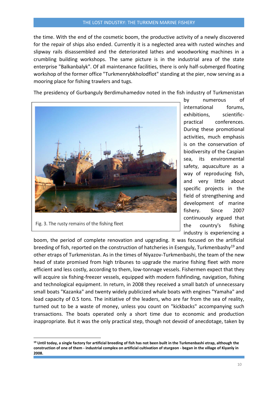the time. With the end of the cosmetic boom, the productive activity of a newly discovered for the repair of ships also ended. Currently it is a neglected area with rusted winches and slipway rails disassembled and the deteriorated lathes and woodworking machines in a crumbling building workshops. The same picture is in the industrial area of the state enterprise "Balkanbalyk". Of all maintenance facilities, there is only half-submerged floating workshop of the former office "Turkmenrybkholodflot" standing at the pier, now serving as a mooring place for fishing trawlers and tugs.

The presidency of Gurbanguly Berdimuhamedov noted in the fish industry of Turkmenistan



Fig. 3. The rusty remains of the fishing fleet

 $\overline{a}$ 

by numerous of international forums, exhibitions, scientificpractical conferences. During these promotional activities, much emphasis is on the conservation of biodiversity of the Caspian sea, its environmental safety, aquaculture as a way of reproducing fish, and very little about specific projects in the field of strengthening and development of marine fishery. Since 2007 continuously argued that the country's fishing industry is experiencing a

boom, the period of complete renovation and upgrading. It was focused on the artificial breeding of fish, reported on the construction of hatcheries in Esenguly, Turkmenbashy<sup>19</sup> and other etraps of Turkmenistan. As in the times of Niyazov-Turkmenbashi, the team of the new head of state promised from high tribunes to upgrade the marine fishing fleet with more efficient and less costly, according to them, low-tonnage vessels. Fishermen expect that they will acquire six fishing-freezer vessels, equipped with modern fishfinding, navigation, fishing and technological equipment. In return, in 2008 they received a small batch of unnecessary small boats "Kazanka" and twenty widely publicized whale boats with engines "Yamaha" and load capacity of 0.5 tons. The initiative of the leaders, who are far from the sea of reality, turned out to be a waste of money, unless you count on "kickbacks" accompanying such transactions. The boats operated only a short time due to economic and production inappropriate. But it was the only practical step, though not devoid of anecdotage, taken by

**<sup>19</sup> Until today, a single factory for artificial breeding of fish has not been built in the Turkmenbashi etrap, although the construction of one of them - industrial complex on artificial cultivation of sturgeon - began in the village of Kiyanly in 2008.**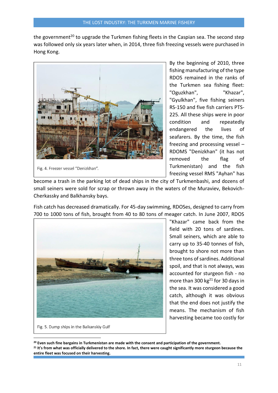the government<sup>20</sup> to upgrade the Turkmen fishing fleets in the Caspian sea. The second step was followed only six years later when, in 2014, three fish freezing vessels were purchased in Hong Kong.



Fig. 4. Freezer vessel "Denizkhan".

By the beginning of 2010, three fishing manufacturing of the type RDOS remained in the ranks of the Turkmen sea fishing fleet: "Oguzkhan", "Khazar", "Gyulkhan", five fishing seiners RS-150 and five fish carriers PTS-225. All these ships were in poor condition and repeatedly endangered the lives of seafarers. By the time, the fish freezing and processing vessel – RDOMS "Denizkhan" (it has not removed the flag of Turkmenistan) and the fish freezing vessel RMS "Ayhan" has

become a trash in the parking lot of dead ships in the city of Turkmenbashi, and dozens of small seiners were sold for scrap or thrown away in the waters of the Muraviev, Bekovich-Cherkassky and Balkhansky bays.

Fish catch has decreased dramatically. For 45-day swimming, RDOSes, designed to carry from 700 to 1000 tons of fish, brought from 40 to 80 tons of meager catch. In June 2007, RDOS



"Khazar" came back from the field with 20 tons of sardines. Small seiners, which are able to carry up to 35-40 tonnes of fish, brought to shore not more than three tons of sardines. Additional spoil, and that is not always, was accounted for sturgeon fish - no more than 300 kg $^{21}$  for 30 days in the sea. It was considered a good catch, although it was obvious that the end does not justify the means. The mechanism of fish harvesting became too costly for

 $\overline{a}$ 

Fig. 5. Dump ships in the Balkanskiy Gulf

**<sup>20</sup> Even such fine bargains in Turkmenistan are made with the consent and participation of the government.**

**<sup>21</sup> It's from what was officially delivered to the shore. In fact, there were caught significantly more sturgeon because the entire fleet was focused on their harvesting.**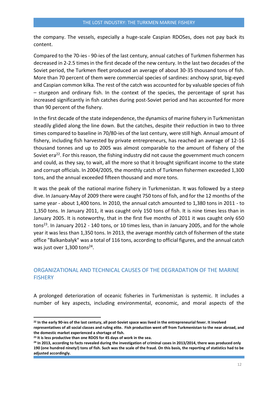the company. The vessels, especially a huge-scale Caspian RDOSes, does not pay back its content.

Compared to the 70-ies - 90-ies of the last century, annual catches of Turkmen fishermen has decreased in 2-2.5 times in the first decade of the new century. In the last two decades of the Soviet period, the Turkmen fleet produced an average of about 30-35 thousand tons of fish. More than 70 percent of them were commercial species of sardines: anchovy sprat, big-eyed and Caspian common kilka. The rest of the catch was accounted for by valuable species of fish – sturgeon and ordinary fish. In the context of the species, the percentage of sprat has increased significantly in fish catches during post-Soviet period and has accounted for more than 90 percent of the fishery.

In the first decade of the state independence, the dynamics of marine fishery in Turkmenistan steadily glided along the line down. But the catches, despite their reduction in two to three times compared to baseline in 70/80-ies of the last century, were still high. Annual amount of fishery, including fish harvested by private entrepreneurs, has reached an average of 12-16 thousand tonnes and up to 2005 was almost comparable to the amount of fishery of the Soviet era<sup>22</sup>. For this reason, the fishing industry did not cause the government much concern and could, as they say, to wait, all the more so that it brought significant income to the state and corrupt officials. In 2004/2005, the monthly catch of Turkmen fishermen exceeded 1,300 tons, and the annual exceeded fifteen thousand and more tons.

It was the peak of the national marine fishery in Turkmenistan. It was followed by a steep dive. In January-May of 2009 there were caught 750 tons of fish, and for the 12 months of the same year - about 1,400 tons. In 2010, the annual catch amounted to 1,380 tons in 2011 - to 1,350 tons. In January 2011, it was caught only 150 tons of fish. It is nine times less than in January 2005. It is noteworthy, that in the first five months of 2011 it was caught only 650 tons<sup>23</sup>. In January 2012 - 140 tons, or 10 times less, than in January 2005, and for the whole year it was less than 1,350 tons. In 2013, the average monthly catch of fishermen of the state office "Balkanbalyk" was a total of 116 tons, according to official figures, and the annual catch was just over  $1,300$  tons<sup>24</sup>.

## <span id="page-12-0"></span>ORGANIZATIONAL AND TECHNICAL CAUSES OF THE DEGRADATION OF THE MARINE **FISHERY**

A prolonged deterioration of oceanic fisheries in Turkmenistan is systemic. It includes a number of key aspects, including environmental, economic, and moral aspects of the

**<sup>22</sup> In the early 90-ies of the last century, all post-Soviet space was lived in the entrepreneurial fever. It involved representatives of all social classes and ruling elite. Fish production went off from Turkmenistan to the near abroad, and the domestic market experienced a shortage of fish.** 

**<sup>23</sup> It is less productive than one RDOS for 45 days of work in the sea.** 

**<sup>24</sup> In 2013, according to facts revealed during the investigation of criminal cases in 2013/2014, there was produced only 190 (one hundred ninety!) tons of fish. Such was the scale of the fraud. On this basis, the reporting of statistics had to be adjusted accordingly.**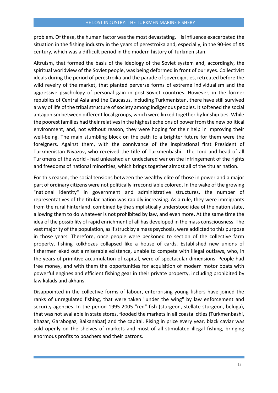problem. Of these, the human factor was the most devastating. His influence exacerbated the situation in the fishing industry in the years of perestroika and, especially, in the 90-ies of XX century, which was a difficult period in the modern history of Turkmenistan.

Altruism, that formed the basis of the ideology of the Soviet system and, accordingly, the spiritual worldview of the Soviet people, was being deformed in front of our eyes. Collectivist ideals during the period of perestroika and the parade of sovereignties, retreated before the wild revelry of the market, that planted perverse forms of extreme individualism and the aggressive psychology of personal gain in post-Soviet countries. However, in the former republics of Central Asia and the Caucasus, including Turkmenistan, there have still survived a way of life of the tribal structure of society among indigenous peoples. It softened the social antagonism between different local groups, which were linked together by kinship ties. While the poorest families had their relatives in the highest echelons of power from the new political environment, and, not without reason, they were hoping for their help in improving their well-being. The main stumbling block on the path to a brighter future for them were the foreigners. Against them, with the connivance of the inspirational first President of Turkmenistan Niyazov, who received the title of Turkmenbashi - the Lord and head of all Turkmens of the world - had unleashed an undeclared war on the infringement of the rights and freedoms of national minorities, which brings together almost all of the titular nation.

For this reason, the social tensions between the wealthy elite of those in power and a major part of ordinary citizens were not politically irreconcilable colored. In the wake of the growing "national identity" in government and administrative structures, the number of representatives of the titular nation was rapidly increasing. As a rule, they were immigrants from the rural hinterland, combined by the simplistically understood idea of the nation state, allowing them to do whatever is not prohibited by law, and even more. At the same time the idea of the possibility of rapid enrichment of all has developed in the mass consciousness. The vast majority of the population, as if struck by a mass psychosis, were addicted to this purpose in those years. Therefore, once people were beckoned to section of the collective farm property, fishing kolkhozes collapsed like a house of cards. Established new unions of fishermen eked out a miserable existence, unable to compete with illegal outlaws, who, in the years of primitive accumulation of capital, were of spectacular dimensions. People had free money, and with them the opportunities for acquisition of modern motor boats with powerful engines and efficient fishing gear in their private property, including prohibited by law kalads and akhans.

Disappointed in the collective forms of labour, enterprising young fishers have joined the ranks of unregulated fishing, that were taken "under the wing" by law enforcement and security agencies. In the period 1995-2005 "red" fish (sturgeon, stellate sturgeon, beluga), that was not available in state stores, flooded the markets in all coastal cities (Turkmenbashi, Khazar, Garabogaz, Balkanabat) and the capital. Rising in price every year, black caviar was sold openly on the shelves of markets and most of all stimulated illegal fishing, bringing enormous profits to poachers and their patrons.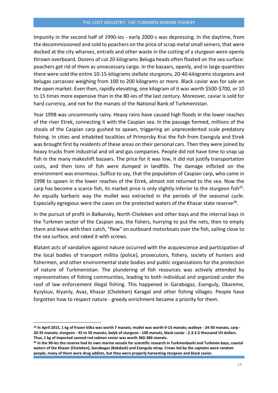Impunity in the second half of 1990-ies - early 2000-s was depressing. In the daytime, from the decommissioned and sold to poachers on the price of scrap metal small seiners, that were docked at the city wharves, entrails and other waste in the cutting of a sturgeon were openly thrown overboard. Dozens of cut 20 kilograms Beluga heads often floated on the sea surface: poachers get rid of them as unnecessary cargo. In the bazaars, openly, and in large quantities there were sold the entire 10-15-kilograms stellate sturgeons, 20-40-kilograms sturgeons and belugas carcasses weighing from 100 to 200 kilograms or more. Black caviar was for sale on the open market. Even then, rapidly elevating, one kilogram of it was worth \$500-\$700, or 10 to 15 times more expensive than in the 80-ies of the last century. Moreover, caviar is sold for hard currency, and not for the manats of the National Bank of Turkmenistan.

Year 1998 was uncommonly rainy. Heavy rains have caused high floods in the lower reaches of the river Etrek, connecting it with the Caspian sea. In the passage formed, millions of the shoals of the Caspian carp gushed to spawn, triggering an unprecedented scale predatory fishing. In cities and inhabited localities of Primorsky Krai the fish from Esenguly and Etrek was brought first by residents of these areas on their personal cars. Then they were joined by heavy trucks from industrial and oil and gas companies. People did not have time to snap up fish in the many makeshift bazaars. The price for it was low, it did not justify transportation costs, and then tons of fish were dumped in landfills. The damage inflicted on the environment was enormous. Suffice to say, that the population of Caspian carp, who came in 1998 to spawn in the lower reaches of the Etrek, almost not returned to the sea. Now the carp has become a scarce fish, its market price is only slightly inferior to the sturgeon fish<sup>25</sup>. An equally barbaric way the mullet was extracted in the periods of the seasonal cycle. Especially egregious were the cases on the protected waters of the Khazar state reserve<sup>26</sup>.

In the pursuit of profit in Balkansky, North-Cheleken and other bays and the internal bays in the Turkmen sector of the Caspian sea, the fishers, hurrying to put the nets, then to empty them and leave with their catch, "flew" on outboard motorboats over the fish, sailing close to the sea surface, and raked it with screws.

Blatant acts of vandalism against nature occurred with the acquiescence and participation of the local bodies of transport militia (police), prosecutors, fishery, society of hunters and fishermen, and other environmental state bodies and public organizations for the protection of nature of Turkmenistan. The plundering of fish resources was actively attended by representatives of fishing communities, leading to both individual and organized under the roof of law enforcement illegal fishing. This happened in Garabogaz, Esenguly, Okareme, Kyzylsuv, Kiyanly, Avaz, Khazar (Cheleken) Karagal and other fishing villages. People have forgotten how to respect nature - greedy enrichment became a priority for them.

 $\overline{a}$ 

**<sup>25</sup> In April 2015, 1 kg of frozen kilka was worth 7 manats; mullet was worth 9-15 manats; walleye - 24-30 manats, carp - 20-35 manats; sturgeon - 45 to 50 manats; balyk of sturgeon - 100 manats, black caviar - 2.3-2.5 thousand US dollars. Thus, 1 kg of imported canned red salmon caviar was worth 360-386 manats.** 

**<sup>26</sup> In the 90-ies the reserve had its own marine vessels for scientific research in Turkmenbashi and Turkmen bays, coastal waters of the Khazar (Cheleken), Garabogaz (Bekdash) and Esenguly etrap. Crews led by the captains were random people, many of them were drug addicts, but they were properly harvesting sturgeon and black caviar.**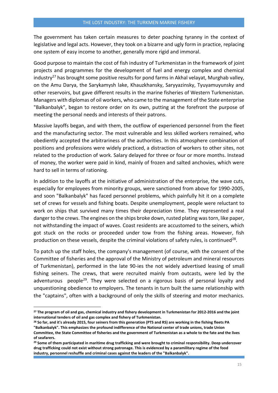The government has taken certain measures to deter poaching tyranny in the context of legislative and legal acts. However, they took on a bizarre and ugly form in practice, replacing one system of easy income to another, generally more rigid and immoral.

Good purpose to maintain the cost of fish industry of Turkmenistan in the framework of joint projects and programmes for the development of fuel and energy complex and chemical industry<sup>27</sup> has brought some positive results for pond farms in Akhal velayat, Murghab valley, on the Amu Darya, the Sarykamysh lake, Khauzkhansky, Saryyazinsky, Tyuyamuyunsky and other reservoirs, but gave different results in the marine fisheries of Western Turkmenistan. Managers with diplomas of oil workers, who came to the management of the State enterprise "Balkanbalyk", began to restore order on its own, putting at the forefront the purpose of meeting the personal needs and interests of their patrons.

Massive layoffs began, and with them, the outflow of experienced personnel from the fleet and the manufacturing sector. The most vulnerable and less skilled workers remained, who obediently accepted the arbitrariness of the authorities. In this atmosphere combination of positions and professions were widely practiced, a distraction of workers to other sites, not related to the production of work. Salary delayed for three or four or more months. Instead of money, the worker were paid in kind, mainly of frozen and salted anchovies, which were hard to sell in terms of rationing.

In addition to the layoffs at the initiative of administration of the enterprise, the wave cuts, especially for employees from minority groups, were sanctioned from above for 1990-2005, and soon "Balkanbalyk" has faced personnel problems, which painfully hit it on a complete set of crews for vessels and fishing boats. Despite unemployment, people were reluctant to work on ships that survived many times their depreciation time. They represented a real danger to the crews. The engines on the ships broke down, rusted plating was torn, like paper, not withstanding the impact of waves. Coast residents are accustomed to the seiners, which got stuck on the rocks or proceeded under tow from the fishing areas. However, fish production on these vessels, despite the criminal violations of safety rules, is continued<sup>28</sup>.

To patch up the staff holes, the company's management (of course, with the consent of the Committee of fisheries and the approval of the Ministry of petroleum and mineral resources of Turkmenistan), performed in the late 90-ies the not widely advertised leasing of small fishing seiners. The crews, that were recruited mainly from outcasts, were led by the adventurous people<sup>29</sup>. They were selected on a rigorous basis of personal loyalty and unquestioning obedience to employers. The tenants in turn built the same relationship with the "captains", often with a background of only the skills of steering and motor mechanics.

**<sup>27</sup> The program of oil and gas, chemical industry and fishery development in Turkmenistan for 2012-2016 and the joint international tenders of oil and gas complex and fishery of Turkmenistan.**

**<sup>28</sup> So far, and it's already 2015, four seiners from this generation (PTS and RS) are working in the fishing fleets PA "Balkanbalyk". This emphasizes the profound indifference of the National center of trade unions, trade Union Committee, the State Committee of fisheries and the government of Turkmenistan as a whole to the fate and the lives of seafarers.**

**<sup>29</sup> Some of them participated in maritime drug trafficking and were brought to criminal responsibility. Deep undercover drug trafficking could not exist without strong patronage. This is evidenced by a paramilitary regime of the food industry, personnel reshuffle and criminal cases against the leaders of the "Balkanbalyk".**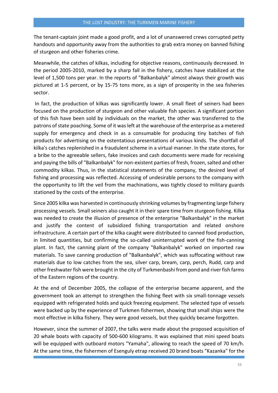The tenant-captain joint made a good profit, and a lot of unanswered crews corrupted petty handouts and opportunity away from the authorities to grab extra money on banned fishing of sturgeon and other fisheries crime.

Meanwhile, the catches of kilkas, including for objective reasons, continuously decreased. In the period 2005-2010, marked by a sharp fall in the fishery, catches have stabilized at the level of 1,500 tons per year. In the reports of "Balkanbalyk" almost always their growth was pictured at 1-5 percent, or by 15-75 tons more, as a sign of prosperity in the sea fisheries sector.

In fact, the production of kilkas was significantly lower. A small fleet of seiners had been focused on the production of sturgeon and other valuable fish species. A significant portion of this fish have been sold by individuals on the market, the other was transferred to the patrons of state poaching. Some of it was left at the warehouse of the enterprise as a metered supply for emergency and check in as a consumable for producing tiny batches of fish products for advertising on the ostentatious presentations of various kinds. The shortfall of kilka's catches replenished in a fraudulent scheme in a virtual manner. In the state stores, for a bribe to the agreeable sellers, fake invoices and cash documents were made for receiving and paying the bills of "Balkanbalyk" for non-existent parties of fresh, frozen, salted and other commodity kilkas. Thus, in the statistical statements of the company, the desired level of fishing and processing was reflected. Accessing of undesirable persons to the company with the opportunity to lift the veil from the machinations, was tightly closed to military guards stationed by the costs of the enterprise.

Since 2005 kilka was harvested in continuously shrinking volumes by fragmenting large fishery processing vessels. Small seiners also caught it in their spare time from sturgeon fishing. Kilka was needed to create the illusion of presence of the enterprise "Balkanbalyk" in the market and justify the content of subsidized fishing transportation and related onshore infrastructure. A certain part of the kilka caught were distributed to canned food production, in limited quantities, but confirming the so-called uninterrupted work of the fish-canning plant. In fact, the canning plant of the company "Balkanbalyk" worked on imported raw materials. To save canning production of "Balkanbalyk", which was suffocating without raw materials due to low catches from the sea, silver carp, bream, carp, perch, Rudd, carp and other freshwater fish were brought in the city of Turkmenbashi from pond and river fish farms of the Eastern regions of the country.

At the end of December 2005, the collapse of the enterprise became apparent, and the government took an attempt to strengthen the fishing fleet with six small-tonnage vessels equipped with refrigerated holds and quick freezing equipment. The selected type of vessels were backed up by the experience of Turkmen fishermen, showing that small ships were the most effective in kilka fishery. They were good vessels, but they quickly became forgotten.

However, since the summer of 2007, the talks were made about the proposed acquisition of 20 whale boats with capacity of 500-600 kilograms. It was explained that mini speed boats will be equipped with outboard motors "Yamaha", allowing to reach the speed of 70 km/h. At the same time, the fishermen of Esenguly etrap received 20 brand boats "Kazanka" for the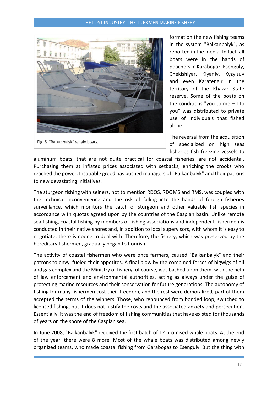#### THE LOST INDUSTRY: THE TURKMEN MARINE FISHERY



formation the new fishing teams in the system "Balkanbalyk", as reported in the media. In fact, all boats were in the hands of poachers in Karabogaz, Esenguly, Chekishlyar, Kiyanly, Kyzylsuv and even Karatengir in the territory of the Khazar State reserve. Some of the boats on the conditions "you to me – I to you" was distributed to private use of individuals that fished alone.

The reversal from the acquisition of specialized on high seas fisheries fish freezing vessels to

aluminum boats, that are not quite practical for coastal fisheries, are not accidental. Purchasing them at inflated prices associated with setbacks, enriching the crooks who reached the power. Insatiable greed has pushed managers of "Balkanbalyk" and their patrons to new devastating initiatives.

The sturgeon fishing with seiners, not to mention RDOS, RDOMS and RMS, was coupled with the technical inconvenience and the risk of falling into the hands of foreign fisheries surveillance, which monitors the catch of sturgeon and other valuable fish species in accordance with quotas agreed upon by the countries of the Caspian basin. Unlike remote sea fishing, coastal fishing by members of fishing associations and independent fishermen is conducted in their native shores and, in addition to local supervisors, with whom it is easy to negotiate, there is noone to deal with. Therefore, the fishery, which was preserved by the hereditary fishermen, gradually began to flourish.

The activity of coastal fishermen who were once farmers, caused "Balkanbalyk" and their patrons to envy, fueled their appetites. A final blow by the combined forces of bigwigs of oil and gas complex and the Ministry of fishery, of course, was bashed upon them, with the help of law enforcement and environmental authorities, acting as always under the guise of protecting marine resources and their conservation for future generations. The autonomy of fishing for many fishermen cost their freedom, and the rest were demoralized, part of them accepted the terms of the winners. Those, who renounced from bonded loop, switched to licensed fishing, but it does not justify the costs and the associated anxiety and persecution. Essentially, it was the end of freedom of fishing communities that have existed for thousands of years on the shore of the Caspian sea.

In June 2008, "Balkanbalyk" received the first batch of 12 promised whale boats. At the end of the year, there were 8 more. Most of the whale boats was distributed among newly organized teams, who made coastal fishing from Garabogaz to Esenguly. But the thing with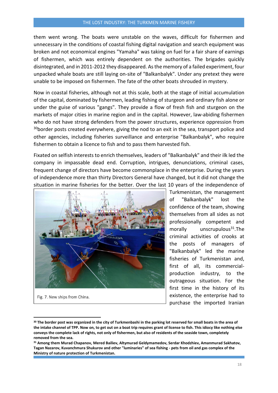#### THE LOST INDUSTRY: THE TURKMEN MARINE FISHERY

them went wrong. The boats were unstable on the waves, difficult for fishermen and unnecessary in the conditions of coastal fishing digital navigation and search equipment was broken and not economical engines "Yamaha" was taking on fuel for a fair share of earnings of fishermen, which was entirely dependent on the authorities. The brigades quickly disintegrated, and in 2011-2012 they disappeared. As the memory of a failed experiment, four unpacked whale boats are still laying on-site of "Balkanbalyk". Under any pretext they were unable to be imposed on fishermen. The fate of the other boats shrouded in mystery.

Now in coastal fisheries, although not at this scale, both at the stage of initial accumulation of the capital, dominated by fishermen, leading fishing of sturgeon and ordinary fish alone or under the guise of various "gangs". They provide a flow of fresh fish and sturgeon on the markets of major cities in marine region and in the capital. However, law-abiding fishermen who do not have strong defenders from the power structures, experience oppression from  $30$ border posts created everywhere, giving the nod to an exit in the sea, transport police and other agencies, including fisheries surveillance and enterprise "Balkanbalyk", who require fishermen to obtain a licence to fish and to pass them harvested fish.

Fixated on selfish interests to enrich themselves, leaders of "Balkanbalyk" and their ilk led the company in impassable dead end. Corruption, intrigues, denunciations, criminal cases, frequent change of directors have become commonplace in the enterprise. During the years of independence more than thirty Directors General have changed, but it did not change the situation in marine fisheries for the better. Over the last 10 years of the independence of



Fig. 7. New ships from China.

1

Turkmenistan, the management of "Balkanbalyk" lost the confidence of the team, showing themselves from all sides as not professionally competent and morally unscrupulous $31$ .The criminal activities of crooks at the posts of managers of "Balkanbalyk" led the marine fisheries of Turkmenistan and, first of all, its commercialproduction industry, to the outrageous situation. For the first time in the history of its existence, the enterprise had to purchase the imported Iranian

**<sup>30</sup> The border post was organized in the city of Turkmenbashi in the parking lot reserved for small boats in the area of the intake channel of TPP. Now on, to get out on a boat trip requires grant of license to fish. This idiocy like nothing else conveys the complete lack of rights, not only of fishermen, but also of residents of the seaside town, completely removed from the sea.**

**<sup>31</sup> Among them Murad Chapanov, Mered Bailiev, Altymurad Geldymamedov, Serdar Khodzhiev, Amanmurad Sakhatov, Tagan Nazarov, Kuvanchmura Shukurov and other "luminaries" of sea fishing - pets from oil and gas complex of the Ministry of nature protection of Turkmenistan.**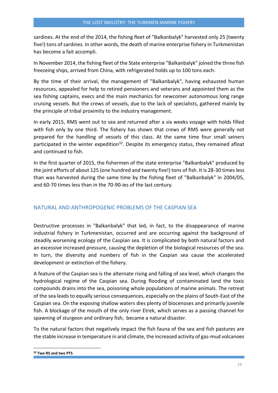sardines. At the end of the 2014, the fishing fleet of "Balkanbalyk" harvested only 25 (twenty five!) tons of sardines. In other words, the death of marine enterprise fishery in Turkmenistan has become a fait accompli.

In November 2014, the fishing fleet of the State enterprise "Balkanbalyk" joined the three fish freezeing ships, arrived from China, with refrigerated holds up to 100 tons each.

By the time of their arrival, the management of "Balkanbalyk", having exhausted human resources, appealed for help to retired pensioners and veterans and appointed them as the sea fishing captains, execs and the main mechanics for newcomer autonomous long range cruising vessels. But the crews of vessels, due to the lack of specialists, gathered mainly by the principle of tribal proximity to the industry management.

In early 2015, RMS went out to sea and returned after a six weeks voyage with holds filled with fish only by one third. The fishery has shown that crews of RMS were generally not prepared for the handling of vessels of this class. At the same time four small seiners participated in the winter expedition<sup>32</sup>. Despite its emergency status, they remained afloat and continued to fish.

In the first quarter of 2015, the fishermen of the state enterprise "Balkanbalyk" produced by the joint efforts of about 125 (one hundred and twenty five!) tons of fish. It is 28-30 times less than was harvested during the same time by the fishing fleet of "Balkanbalyk" in 2004/05, and 60-70 times less than in the 70-90-ies of the last century.

## <span id="page-19-0"></span>NATURAL AND ANTHROPOGENIC PROBLEMS OF THE CASPIAN SEA

Destructive processes in "Balkanbalyk" that led, in fact, to the disappearance of marine industrial fishery in Turkmenistan, occurred and are occurring against the background of steadily worsening ecology of the Caspian sea. It is complicated by both natural factors and an excessive increased pressure, causing the depletion of the biological resources of the sea. In turn, the diversity and numbers of fish in the Caspian sea cause the accelerated development or extinction of the fishery.

A feature of the Caspian sea is the alternate rising and falling of sea level, which changes the hydrological regime of the Caspian sea. During flooding of contaminated land the toxic compounds drains into the sea, poisoning whole populations of marine animals. The retreat of the sea leads to equally serious consequences, especially on the plains of South-East of the Caspian sea. On the exposing shallow waters dies plenty of biocenoses and primarily juvenile fish. A blockage of the mouth of the only river Etrek, which serves as a passing channel for spawning of sturgeon and ordinary fish, became a natural disaster.

To the natural factors that negatively impact the fish fauna of the sea and fish pastures are the stable increase in temperature in arid climate, the increased activity of gas-mud volcanoes

**<sup>32</sup> Two RS and two PTS**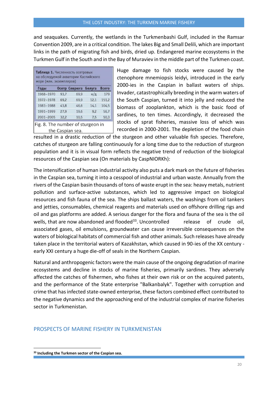and seaquakes. Currently, the wetlands in the Turkmenbashi Gulf, included in the Ramsar Convention 2009, are in a critical condition. The lakes Big and Small Delili, which are important links in the path of migrating fish and birds, dried up. Endangered marine ecosystems in the Turkmen Gulf in the South and in the Bay of Muraviev in the middle part of the Turkmen coast.

| Годы      |      | Осетр Севрюга Белуга |                | <b>Bcero</b> |
|-----------|------|----------------------|----------------|--------------|
| 1968-1970 | 93,7 | 69.9                 | $H/\mathbb{Z}$ | 179          |
| 1972-1978 | 69.2 | 69,9                 | 12.1           | 151,2        |
| 1983-1988 | 43.8 | 46,6                 | 14.1           | 104,5        |
| 1991-1999 | 27.9 | 19.6                 | 9.2            | 56,7         |
| 2001-2005 | 32.2 | 10,5                 | 7.5            | 50,3         |

Huge damage to fish stocks were caused by the ctenophore mnemiopsis leidyi, introduced in the early 2000-ies in the Caspian in ballast waters of ships. Invader, catastrophically breeding in the warm waters of the South Caspian, turned it into jelly and reduced the biomass of zooplankton, which is the basic food of sardines, to ten times. Accordingly, it decreased the stocks of sprat fisheries, massive loss of which was recorded in 2000-2001. The depletion of the food chain

resulted in a drastic reduction of the sturgeon and other valuable fish species. Therefore, catches of sturgeon are falling continuously for a long time due to the reduction of sturgeon population and it is in visual form reflects the negative trend of reduction of the biological resources of the Caspian sea (On materials by CaspNIORKh):

The intensification of human industrial activity also puts a dark mark on the future of fisheries in the Caspian sea, turning it into a cesspool of industrial and urban waste. Annually from the rivers of the Caspian basin thousands of tons of waste erupt in the sea: heavy metals, nutrient pollution and surface-active substances, which led to aggressive impact on biological resources and fish fauna of the sea. The ships ballast waters, the washings from oil tankers and jetties, consumables, chemical reagents and materials used on offshore drilling rigs and oil and gas platforms are added. A serious danger for the flora and fauna of the sea is the oil wells, that are now abandoned and flooded<sup>33</sup>. Uncontrolled release of crude oil, associated gases, oil emulsions, groundwater can cause irreversible consequences on the waters of biological habitats of commercial fish and other animals. Such releases have already taken place in the territorial waters of Kazakhstan, which caused in 90-ies of the XX century early XXI century a huge die-off of seals in the Northern Caspian.

Natural and anthropogenic factors were the main cause of the ongoing degradation of marine ecosystems and decline in stocks of marine fisheries, primarily sardines. They adversely affected the catches of fishermen, who fishes at their own risk or on the acquired patents, and the performance of the State enterprise "Balkanbalyk". Together with corruption and crime that has infected state-owned enterprise, these factors combined effect contributed to the negative dynamics and the approaching end of the industrial complex of marine fisheries sector in Turkmenistan.

#### <span id="page-20-0"></span>PROSPECTS OF MARINE FISHERY IN TURKMENISTAN

**<sup>33</sup> Including the Turkmen sector of the Caspian sea.**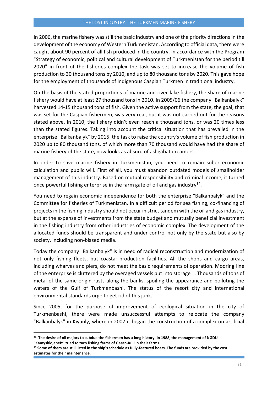In 2006, the marine fishery was still the basic industry and one of the priority directions in the development of the economy of Western Turkmenistan. According to official data, there were caught about 90 percent of all fish produced in the country. In accordance with the Program "Strategy of economic, political and cultural development of Turkmenistan for the period till 2020" in front of the fisheries complex the task was set to increase the volume of fish production to 30 thousand tons by 2010, and up to 80 thousand tons by 2020. This gave hope for the employment of thousands of indigenous Caspian Turkmen in traditional industry.

On the basis of the stated proportions of marine and river-lake fishery, the share of marine fishery would have at least 27 thousand tons in 2010. In 2005/06 the company "Balkanbalyk" harvested 14-15 thousand tons of fish. Given the active support from the state, the goal, that was set for the Caspian fishermen, was very real, but it was not carried out for the reasons stated above. In 2010, the fishery didn't even reach a thousand tons, or was 20 times less than the stated figures. Taking into account the critical situation that has prevailed in the enterprise "Balkanbalyk" by 2015, the task to raise the country's volume of fish production in 2020 up to 80 thousand tons, of which more than 70 thousand would have had the share of marine fishery of the state, now looks as absurd of ashgabat dreamers.

In order to save marine fishery in Turkmenistan, you need to remain sober economic calculation and public will. First of all, you must abandon outdated models of smallholder management of this industry. Based on mutual responsibility and criminal income, it turned once powerful fishing enterprise in the farm gate of oil and gas industry<sup>34</sup>.

You need to regain economic independence for both the enterprise "Balkanbalyk" and the Committee for fisheries of Turkmenistan. In a difficult period for sea fishing, co-financing of projects in the fishing industry should not occur in strict tandem with the oil and gas industry, but at the expense of investments from the state budget and mutually beneficial investment in the fishing industry from other industries of economic complex. The development of the allocated funds should be transparent and under control not only by the state but also by society, including non-biased media.

Today the company "Balkanbalyk" is in need of radical reconstruction and modernization of not only fishing fleets, but coastal production facilities. All the shops and cargo areas, including wharves and piers, do not meet the basic requirements of operation. Mooring line of the enterprise is cluttered by the overaged vessels put into storage<sup>35</sup>. Thousands of tons of metal of the same origin rusts along the banks, spoiling the appearance and polluting the waters of the Gulf of Turkmenbashi. The status of the resort city and international environmental standards urge to get rid of this junk.

Since 2005, for the purpose of improvement of ecological situation in the city of Turkmenbashi, there were made unsuccessful attempts to relocate the company "Balkanbalyk" in Kiyanly, where in 2007 it began the construction of a complex on artificial

**<sup>34</sup> The desire of oil majors to subdue the fishermen has a long history. In 1988, the management of NGDU "Kamyshldjaneft" tried to turn fishing farms of Gasan-Kuli in their farms.** 

**<sup>35</sup> Some of them are still listed in the ship's schedule as fully-featured boats. The funds are provided by the cost estimates for their maintenance.**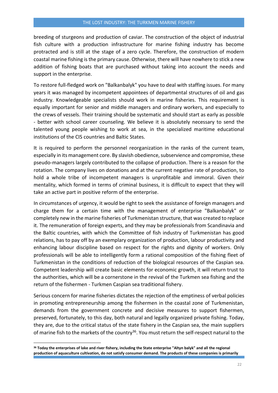breeding of sturgeons and production of caviar. The construction of the object of industrial fish culture with a production infrastructure for marine fishing industry has become protracted and is still at the stage of a zero cycle. Therefore, the construction of modern coastal marine fishing is the primary cause. Otherwise, there will have nowhere to stick a new addition of fishing boats that are purchased without taking into account the needs and support in the enterprise.

To restore full-fledged work on "Balkanbalyk" you have to deal with staffing issues. For many years it was managed by incompetent appointees of departmental structures of oil and gas industry. Knowledgeable specialists should work in marine fisheries. This requirement is equally important for senior and middle managers and ordinary workers, and especially to the crews of vessels. Their training should be systematic and should start as early as possible - better with school career counseling. We believe it is absolutely necessary to send the talented young people wishing to work at sea, in the specialized maritime educational institutions of the CIS countries and Baltic States.

It is required to perform the personnel reorganization in the ranks of the current team, especially in its management core. By slavish obedience, subservience and compromise, these pseudo-managers largely contributed to the collapse of production. There is a reason for the rotation. The company lives on donations and at the current negative rate of production, to hold a whole tribe of incompetent managers is unprofitable and immoral. Given their mentality, which formed in terms of criminal business, it is difficult to expect that they will take an active part in positive reform of the enterprise.

In circumstances of urgency, it would be right to seek the assistance of foreign managers and charge them for a certain time with the management of enterprise "Balkanbalyk" or completely new in the marine fisheries of Turkmenistan structure, that was created to replace it. The remuneration of foreign experts, and they may be professionals from Scandinavia and the Baltic countries, with which the Committee of fish industry of Turkmenistan has good relations, has to pay off by an exemplary organization of production, labour productivity and enhancing labour discipline based on respect for the rights and dignity of workers. Only professionals will be able to intelligently form a rational composition of the fishing fleet of Turkmenistan in the conditions of reduction of the biological resources of the Caspian sea. Competent leadership will create basic elements for economic growth, it will return trust to the authorities, which will be a cornerstone in the revival of the Turkmen sea fishing and the return of the fishermen - Turkmen Caspian sea traditional fishery.

Serious concern for marine fisheries dictates the rejection of the emptiness of verbal policies in promoting entrepreneurship among the fishermen in the coastal zone of Turkmenistan, demands from the government concrete and decisive measures to support fishermen, preserved, fortunately, to this day, both natural and legally organized private fishing. Today, they are, due to the critical status of the state fishery in the Caspian sea, the main suppliers of marine fish to the markets of the country<sup>36</sup>. You must return the self-respect natural to the

**<sup>36</sup> Today the enterprises of lake and river fishery, including the State enterprise "Altyn balyk" and all the regional production of aquaculture cultivation, do not satisfy consumer demand. The products of these companies is primarily**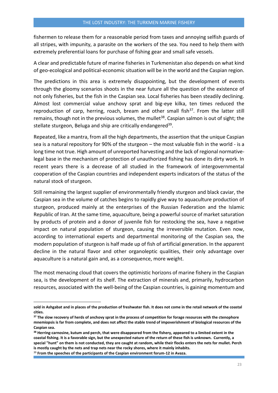fishermen to release them for a reasonable period from taxes and annoying selfish guards of all stripes, with impunity, a parasite on the workers of the sea. You need to help them with extremely preferential loans for purchase of fishing gear and small safe vessels.

A clear and predictable future of marine fisheries in Turkmenistan also depends on what kind of geo-ecological and political-economic situation will be in the world and the Caspian region.

The predictions in this area is extremely disappointing, but the development of events through the gloomy scenarios shoots in the near future all the question of the existence of not only fisheries, but the fish in the Caspian sea. Local fisheries has been steadily declining. Almost lost commercial value anchovy sprat and big-eye kilka, ten times reduced the reproduction of carp, herring, roach, bream and other small fish $^{37}$ . From the latter still remains, though not in the previous volumes, the mullet<sup>38</sup>. Caspian salmon is out of sight; the stellate sturgeon, Beluga and ship are critically endangered<sup>39</sup>.

Repeated, like a mantra, from all the high departments, the assertion that the unique Caspian sea is a natural repository for 90% of the sturgeon – the most valuable fish in the world - is a long time not true. High amount of unreported harvesting and the lack of regional normativelegal base in the mechanism of protection of unauthorized fishing has done its dirty work. In recent years there is a decrease of all studied in the framework of intergovernmental cooperation of the Caspian countries and independent experts indicators of the status of the natural stock of sturgeon.

Still remaining the largest supplier of environmentally friendly sturgeon and black caviar, the Caspian sea in the volume of catches begins to rapidly give way to aquaculture production of sturgeon, produced mainly at the enterprises of the Russian Federation and the Islamic Republic of Iran. At the same time, aquaculture, being a powerful source of market saturation by products of protein and a donor of juvenile fish for restocking the sea, have a negative impact on natural population of sturgeon, causing the irreversible mutation. Even now, according to international experts and departmental monitoring of the Caspian sea, the modern population of sturgeon is half made up of fish of artificial generation. In the apparent decline in the natural flavor and other organoleptic qualities, their only advantage over aquaculture is a natural gain and, as a consequence, more weight.

The most menacing cloud that covers the optimistic horizons of marine fishery in the Caspian sea, is the development of its shelf. The extraction of minerals and, primarily, hydrocarbon resources, associated with the well-being of the Caspian countries, is gaining momentum and

**sold in Ashgabat and in places of the production of freshwater fish. It does not come in the retail network of the coastal cities.** 

**<sup>37</sup> The slow recovery of herds of anchovy sprat in the process of competition for forage resources with the ctenophore mnemiopsis is far from complete, and does not affect the stable trend of impoverishment of biological resources of the Caspian sea.** 

**<sup>38</sup> Herring-carnosine, kutum and perch, that were disappeared from the fishery, appeared to a limited extent in the coastal fishing. It is a favorable sign, but the unexpected nature of the return of these fish is unknown. Currently, a special "hunt" on them is not conducted, they are caught at random, while their flocks enters the nets for mullet. Perch is mostly caught by the nets and trap nets near the rocky shores, where it mainly inhabits.** 

<sup>39</sup> **From the speeches of the participants of the Caspian environment forum-12 in Avaza.**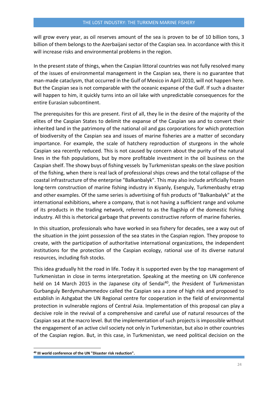will grow every year, as oil reserves amount of the sea is proven to be of 10 billion tons, 3 billion of them belongs to the Azerbaijani sector of the Caspian sea. In accordance with this it will increase risks and environmental problems in the region.

In the present state of things, when the Caspian littoral countries was not fully resolved many of the issues of environmental management in the Caspian sea, there is no guarantee that man-made cataclysm, that occurred in the Gulf of Mexico in April 2010, will not happen here. But the Caspian sea is not comparable with the oceanic expanse of the Gulf. If such a disaster will happen to him, it quickly turns into an oil lake with unpredictable consequences for the entire Eurasian subcontinent.

The prerequisites for this are present. First of all, they lie in the desire of the majority of the elites of the Caspian States to delimit the expanse of the Caspian sea and to convert their inherited land in the patrimony of the national oil and gas corporations for which protection of biodiversity of the Caspian sea and issues of marine fisheries are a matter of secondary importance. For example, the scale of hatchery reproduction of sturgeons in the whole Caspian sea recently reduced. This is not caused by concern about the purity of the natural lines in the fish populations, but by more profitable investment in the oil business on the Caspian shelf. The showy buys of fishing vessels by Turkmenistan speaks on the slave position of the fishing, when there is real lack of professional ships crews and the total collapse of the coastal infrastructure of the enterprise "Balkanbalyk". This may also include artificially frozen long-term construction of marine fishing industry in Kiyanly, Esenguly, Turkmenbashy etrap and other examples. Of the same series is advertising of fish products of "Balkanbalyk" at the international exhibitions, where a company, that is not having a sufficient range and volume of its products in the trading network, referred to as the flagship of the domestic fishing industry. All this is rhetorical garbage that prevents constructive reform of marine fisheries.

In this situation, professionals who have worked in sea fishery for decades, see a way out of the situation in the joint possession of the sea states in the Caspian region. They propose to create, with the participation of authoritative international organizations, the independent institutions for the protection of the Caspian ecology, rational use of its diverse natural resources, including fish stocks.

This idea gradually hit the road in life. Today it is supported even by the top management of Turkmenistan in close in terms interpretation. Speaking at the meeting on UN conference held on 14 March 2015 in the Japanese city of Sendai<sup>40</sup>, the President of Turkmenistan Gurbanguly Berdymuhammedov called the Caspian sea a zone of high risk and proposed to establish in Ashgabat the UN Regional centre for cooperation in the field of environmental protection in vulnerable regions of Central Asia. Implementation of this proposal can play a decisive role in the revival of a comprehensive and careful use of natural resources of the Caspian sea at the macro level. But the implementation of such projects is impossible without the engagement of an active civil society not only in Turkmenistan, but also in other countries of the Caspian region. But, in this case, in Turkmenistan, we need political decision on the

**<sup>40</sup> III world conference of the UN "Disaster risk reduction".**